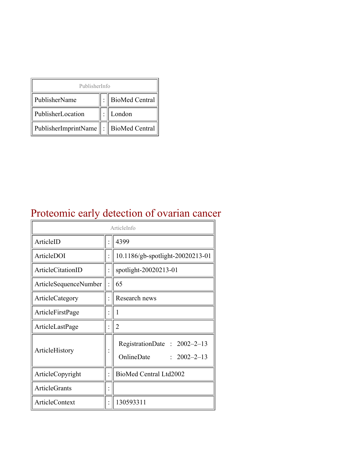| PublisherInfo                                   |  |                    |  |  |
|-------------------------------------------------|--|--------------------|--|--|
| PublisherName                                   |  | :   BioMed Central |  |  |
| PublisherLocation                               |  | London             |  |  |
| PublisherImprintName $\ \cdot\ $ BioMed Central |  |                    |  |  |

## Proteomic early detection of ovarian cancer

| ArticleInfo           |  |                                                                |  |
|-----------------------|--|----------------------------------------------------------------|--|
| ArticleID             |  | 4399                                                           |  |
| ArticleDOI            |  | 10.1186/gb-spotlight-20020213-01                               |  |
| ArticleCitationID     |  | spotlight-20020213-01                                          |  |
| ArticleSequenceNumber |  | 65                                                             |  |
| ArticleCategory       |  | Research news                                                  |  |
| ArticleFirstPage      |  | 1                                                              |  |
| ArticleLastPage       |  | $\overline{2}$                                                 |  |
| ArticleHistory        |  | RegistrationDate: 2002-2-13<br>OnlineDate<br>$: 2002 - 2 - 13$ |  |
| ArticleCopyright      |  | BioMed Central Ltd2002                                         |  |
| <b>ArticleGrants</b>  |  |                                                                |  |
| ArticleContext        |  | 130593311                                                      |  |